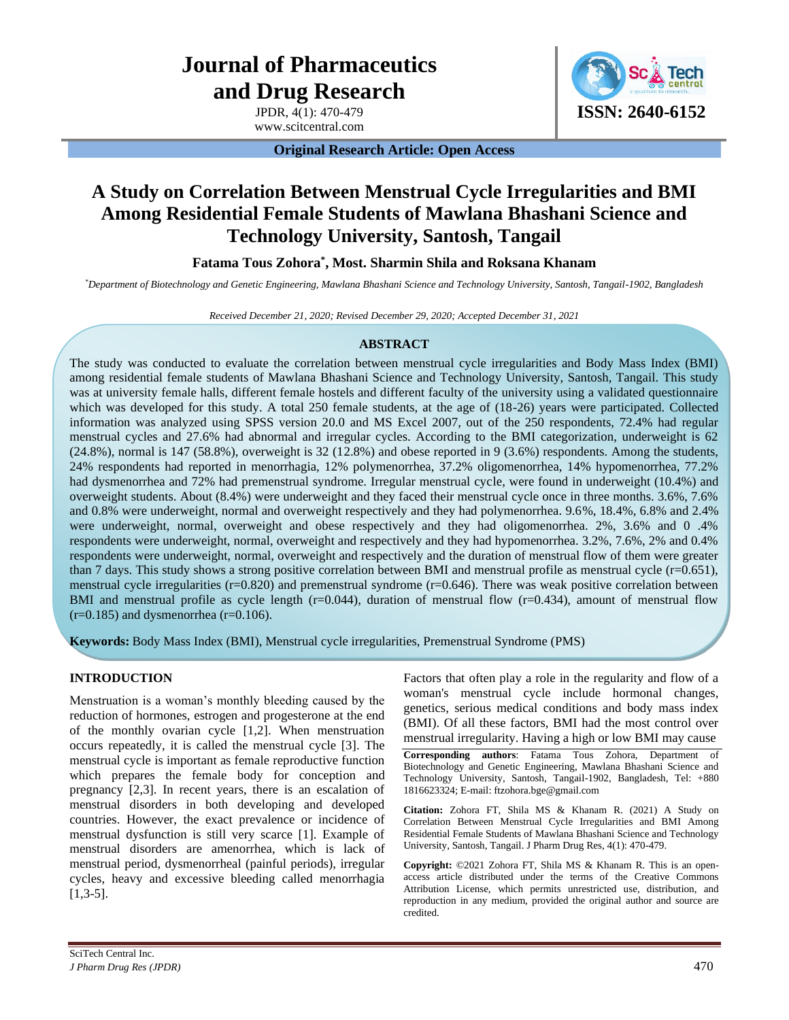# **Journal of Pharmaceutics and Drug Research**

JPDR, 4(1): 470-479 www.scitcentral.com



**Original Research Article: Open Access**

# **A Study on Correlation Between Menstrual Cycle Irregularities and BMI Among Residential Female Students of Mawlana Bhashani Science and Technology University, Santosh, Tangail**

**Fatama Tous Zohora\* , Most. Sharmin Shila and Roksana Khanam**

*\*Department of Biotechnology and Genetic Engineering, Mawlana Bhashani Science and Technology University, Santosh, Tangail-1902, Bangladesh*

*Received December 21, 2020; Revised December 29, 2020; Accepted December 31, 2021*

# **ABSTRACT**

The study was conducted to evaluate the correlation between menstrual cycle irregularities and Body Mass Index (BMI) among residential female students of Mawlana Bhashani Science and Technology University, Santosh, Tangail. This study was at university female halls, different female hostels and different faculty of the university using a validated questionnaire which was developed for this study. A total 250 female students, at the age of (18-26) years were participated. Collected information was analyzed using SPSS version 20.0 and MS Excel 2007, out of the 250 respondents, 72.4% had regular menstrual cycles and 27.6% had abnormal and irregular cycles. According to the BMI categorization, underweight is 62  $(24.8\%)$ , normal is 147 (58.8%), overweight is 32 (12.8%) and obese reported in 9 (3.6%) respondents. Among the students, 24% respondents had reported in menorrhagia, 12% polymenorrhea, 37.2% oligomenorrhea, 14% hypomenorrhea, 77.2% had dysmenorrhea and 72% had premenstrual syndrome. Irregular menstrual cycle, were found in underweight (10.4%) and overweight students. About (8.4%) were underweight and they faced their menstrual cycle once in three months. 3.6%, 7.6% and 0.8% were underweight, normal and overweight respectively and they had polymenorrhea. 9.6%, 18.4%, 6.8% and 2.4% were underweight, normal, overweight and obese respectively and they had oligomenorrhea. 2%, 3.6% and 0 .4% respondents were underweight, normal, overweight and respectively and they had hypomenorrhea. 3.2%, 7.6%, 2% and 0.4% respondents were underweight, normal, overweight and respectively and the duration of menstrual flow of them were greater than 7 days. This study shows a strong positive correlation between BMI and menstrual profile as menstrual cycle  $(r=0.651)$ , menstrual cycle irregularities ( $r=0.820$ ) and premenstrual syndrome ( $r=0.646$ ). There was weak positive correlation between BMI and menstrual profile as cycle length  $(r=0.044)$ , duration of menstrual flow  $(r=0.434)$ , amount of menstrual flow  $(r=0.185)$  and dysmenorrhea  $(r=0.106)$ .

**Keywords:** Body Mass Index (BMI), Menstrual cycle irregularities, Premenstrual Syndrome (PMS)

# **INTRODUCTION**

Menstruation is a woman's monthly bleeding caused by the reduction of hormones, estrogen and progesterone at the end of the monthly ovarian cycle [1,2]. When menstruation occurs repeatedly, it is called the menstrual cycle [3]. The menstrual cycle is important as female reproductive function which prepares the female body for conception and pregnancy [2,3]. In recent years, there is an escalation of menstrual disorders in both developing and developed countries. However, the exact prevalence or incidence of menstrual dysfunction is still very scarce [1]. Example of menstrual disorders are amenorrhea, which is lack of menstrual period, dysmenorrheal (painful periods), irregular cycles, heavy and excessive bleeding called menorrhagia  $[1,3-5]$ .

Factors that often play a role in the regularity and flow of a woman's menstrual cycle include hormonal changes, genetics, serious medical conditions and body mass index (BMI). Of all these factors, BMI had the most control over menstrual irregularity. Having a high or low BMI may cause

**Corresponding authors**: Fatama Tous Zohora, Department of Biotechnology and Genetic Engineering, Mawlana Bhashani Science and Technology University, Santosh, Tangail-1902, Bangladesh, Tel: +880 1816623324; E-mail: ftzohora.bge@gmail.com

**Citation:** Zohora FT, Shila MS & Khanam R. (2021) A Study on Correlation Between Menstrual Cycle Irregularities and BMI Among Residential Female Students of Mawlana Bhashani Science and Technology University, Santosh, Tangail. J Pharm Drug Res, 4(1): 470-479.

**Copyright:** ©2021 Zohora FT, Shila MS & Khanam R. This is an openaccess article distributed under the terms of the Creative Commons Attribution License, which permits unrestricted use, distribution, and reproduction in any medium, provided the original author and source are credited.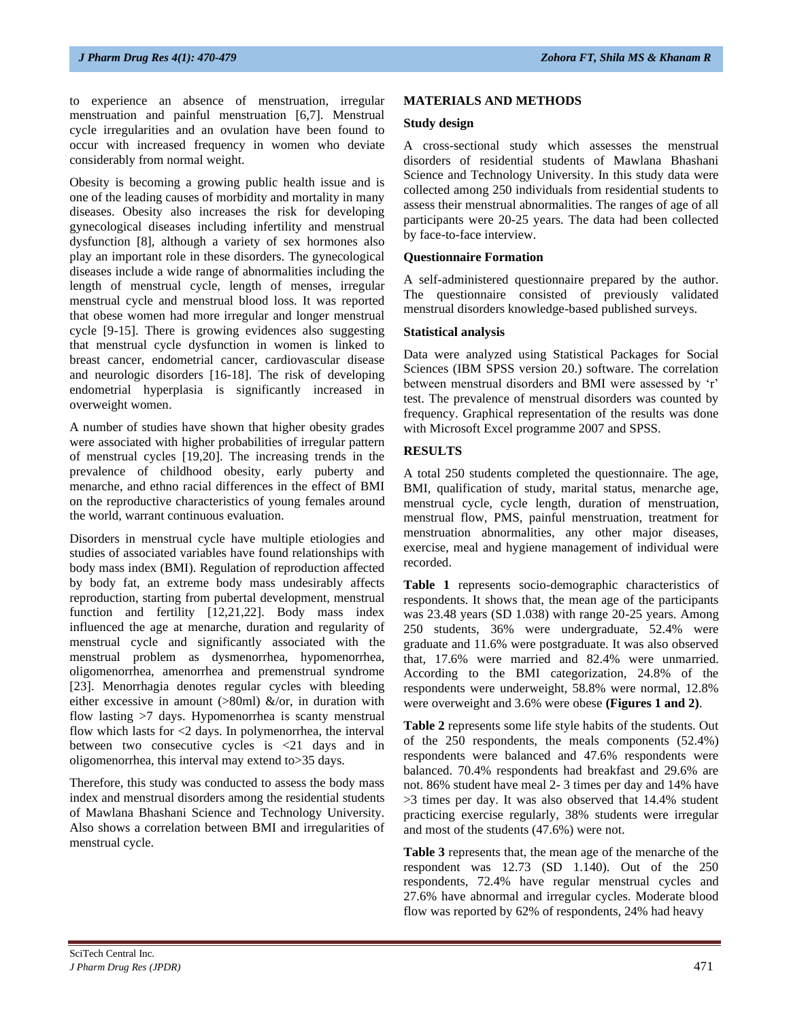to experience an absence of menstruation, irregular menstruation and painful menstruation [6,7]. Menstrual cycle irregularities and an ovulation have been found to occur with increased frequency in women who deviate considerably from normal weight.

Obesity is becoming a growing public health issue and is one of the leading causes of morbidity and mortality in many diseases. Obesity also increases the risk for developing gynecological diseases including infertility and menstrual dysfunction [8], although a variety of sex hormones also play an important role in these disorders. The gynecological diseases include a wide range of abnormalities including the length of menstrual cycle, length of menses, irregular menstrual cycle and menstrual blood loss. It was reported that obese women had more irregular and longer menstrual cycle [9-15]. There is growing evidences also suggesting that menstrual cycle dysfunction in women is linked to breast cancer, endometrial cancer, cardiovascular disease and neurologic disorders [16-18]. The risk of developing endometrial hyperplasia is significantly increased in overweight women.

A number of studies have shown that higher obesity grades were associated with higher probabilities of irregular pattern of menstrual cycles [19,20]. The increasing trends in the prevalence of childhood obesity, early puberty and menarche, and ethno racial differences in the effect of BMI on the reproductive characteristics of young females around the world, warrant continuous evaluation.

Disorders in menstrual cycle have multiple etiologies and studies of associated variables have found relationships with body mass index (BMI). Regulation of reproduction affected by body fat, an extreme body mass undesirably affects reproduction, starting from pubertal development, menstrual function and fertility [12,21,22]. Body mass index influenced the age at menarche, duration and regularity of menstrual cycle and significantly associated with the menstrual problem as dysmenorrhea, hypomenorrhea, oligomenorrhea, amenorrhea and premenstrual syndrome [23]. Menorrhagia denotes regular cycles with bleeding either excessive in amount (>80ml) &/or, in duration with flow lasting >7 days. Hypomenorrhea is scanty menstrual flow which lasts for <2 days. In polymenorrhea, the interval between two consecutive cycles is <21 days and in oligomenorrhea, this interval may extend to>35 days.

Therefore, this study was conducted to assess the body mass index and menstrual disorders among the residential students of Mawlana Bhashani Science and Technology University. Also shows a correlation between BMI and irregularities of menstrual cycle.

#### **MATERIALS AND METHODS**

#### **Study design**

A cross-sectional study which assesses the menstrual disorders of residential students of Mawlana Bhashani Science and Technology University. In this study data were collected among 250 individuals from residential students to assess their menstrual abnormalities. The ranges of age of all participants were 20-25 years. The data had been collected by face-to-face interview.

#### **Questionnaire Formation**

A self-administered questionnaire prepared by the author. The questionnaire consisted of previously validated menstrual disorders knowledge-based published surveys.

#### **Statistical analysis**

Data were analyzed using Statistical Packages for Social Sciences (IBM SPSS version 20.) software. The correlation between menstrual disorders and BMI were assessed by 'r' test. The prevalence of menstrual disorders was counted by frequency. Graphical representation of the results was done with Microsoft Excel programme 2007 and SPSS.

# **RESULTS**

A total 250 students completed the questionnaire. The age, BMI, qualification of study, marital status, menarche age, menstrual cycle, cycle length, duration of menstruation, menstrual flow, PMS, painful menstruation, treatment for menstruation abnormalities, any other major diseases, exercise, meal and hygiene management of individual were recorded.

**Table 1** represents socio-demographic characteristics of respondents. It shows that, the mean age of the participants was 23.48 years (SD 1.038) with range 20-25 years. Among 250 students, 36% were undergraduate, 52.4% were graduate and 11.6% were postgraduate. It was also observed that, 17.6% were married and 82.4% were unmarried. According to the BMI categorization, 24.8% of the respondents were underweight, 58.8% were normal, 12.8% were overweight and 3.6% were obese **(Figures 1 and 2)**.

**Table 2** represents some life style habits of the students. Out of the 250 respondents, the meals components (52.4%) respondents were balanced and 47.6% respondents were balanced. 70.4% respondents had breakfast and 29.6% are not. 86% student have meal 2- 3 times per day and 14% have >3 times per day. It was also observed that 14.4% student practicing exercise regularly, 38% students were irregular and most of the students (47.6%) were not.

**Table 3** represents that, the mean age of the menarche of the respondent was 12.73 (SD 1.140). Out of the 250 respondents, 72.4% have regular menstrual cycles and 27.6% have abnormal and irregular cycles. Moderate blood flow was reported by 62% of respondents, 24% had heavy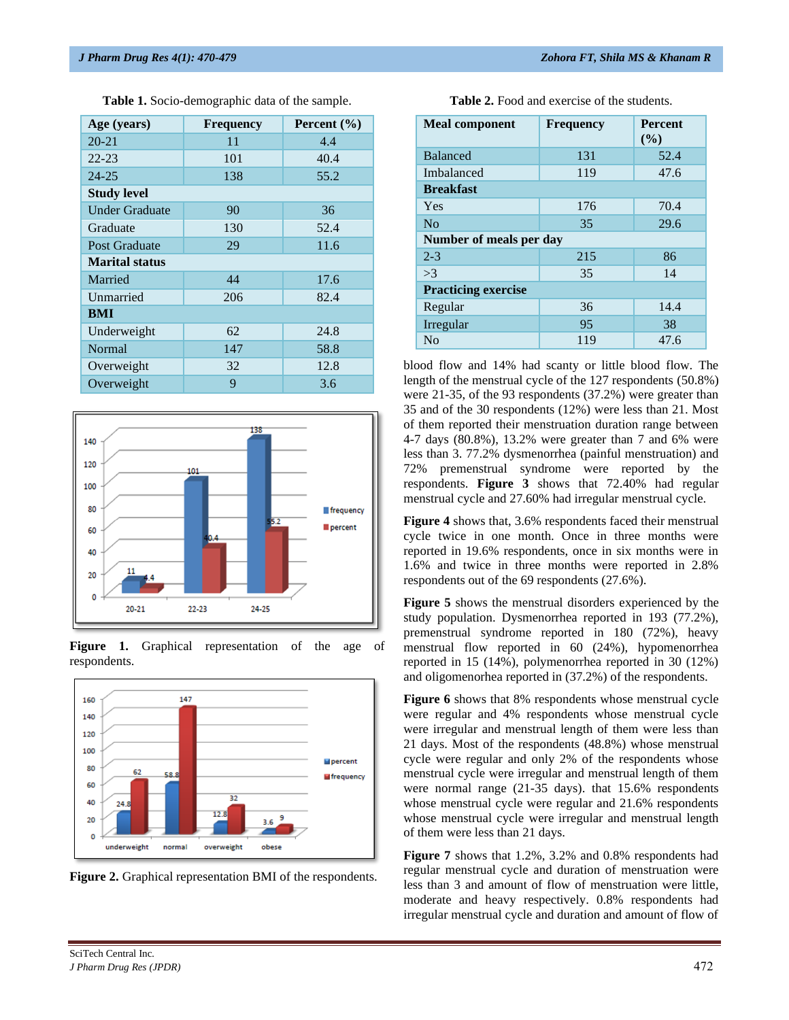| Age (years)           | <b>Frequency</b> | Percent $(\% )$ |  |  |  |  |  |
|-----------------------|------------------|-----------------|--|--|--|--|--|
| $20 - 21$             | 11               | 4.4             |  |  |  |  |  |
| $22 - 23$             | 101              | 40.4            |  |  |  |  |  |
| $24 - 25$             | 138              | 55.2            |  |  |  |  |  |
| <b>Study level</b>    |                  |                 |  |  |  |  |  |
| <b>Under Graduate</b> | 90               | 36              |  |  |  |  |  |
| Graduate              | 130              | 52.4            |  |  |  |  |  |
| <b>Post Graduate</b>  | 29               | 11.6            |  |  |  |  |  |
| <b>Marital status</b> |                  |                 |  |  |  |  |  |
| Married               | 44               | 17.6            |  |  |  |  |  |
| Unmarried             | 206              | 82.4            |  |  |  |  |  |
| BMI                   |                  |                 |  |  |  |  |  |
| Underweight           | 62               | 24.8            |  |  |  |  |  |
| Normal                | 147              | 58.8            |  |  |  |  |  |
| Overweight            | 32               | 12.8            |  |  |  |  |  |
| Overweight            | 9                | 3.6             |  |  |  |  |  |

**Table 1.** Socio-demographic data of the sample.









**Table 2.** Food and exercise of the students.

| <b>Meal component</b>      | <b>Frequency</b> | <b>Percent</b><br>$($ %) |  |  |  |  |
|----------------------------|------------------|--------------------------|--|--|--|--|
| <b>Balanced</b>            | 131              | 52.4                     |  |  |  |  |
| Imbalanced                 | 119              | 47.6                     |  |  |  |  |
| <b>Breakfast</b>           |                  |                          |  |  |  |  |
| Yes                        | 176              | 70.4                     |  |  |  |  |
| N <sub>0</sub>             | 35               | 29.6                     |  |  |  |  |
| Number of meals per day    |                  |                          |  |  |  |  |
| $2 - 3$                    | 215              | 86                       |  |  |  |  |
| >3                         | 35               | 14                       |  |  |  |  |
| <b>Practicing exercise</b> |                  |                          |  |  |  |  |
| Regular                    | 36               | 14.4                     |  |  |  |  |
| Irregular                  | 95               | 38                       |  |  |  |  |
| N <sub>0</sub>             | 119              | 47.6                     |  |  |  |  |

blood flow and 14% had scanty or little blood flow. The length of the menstrual cycle of the 127 respondents (50.8%) were 21-35, of the 93 respondents (37.2%) were greater than 35 and of the 30 respondents (12%) were less than 21. Most of them reported their menstruation duration range between 4-7 days (80.8%), 13.2% were greater than 7 and 6% were less than 3. 77.2% dysmenorrhea (painful menstruation) and 72% premenstrual syndrome were reported by the respondents. **Figure 3** shows that 72.40% had regular menstrual cycle and 27.60% had irregular menstrual cycle.

**Figure 4** shows that, 3.6% respondents faced their menstrual cycle twice in one month. Once in three months were reported in 19.6% respondents, once in six months were in 1.6% and twice in three months were reported in 2.8% respondents out of the 69 respondents (27.6%).

**Figure 5** shows the menstrual disorders experienced by the study population. Dysmenorrhea reported in 193 (77.2%), premenstrual syndrome reported in 180 (72%), heavy menstrual flow reported in 60 (24%), hypomenorrhea reported in 15 (14%), polymenorrhea reported in 30 (12%) and oligomenorhea reported in (37.2%) of the respondents.

**Figure 6** shows that 8% respondents whose menstrual cycle were regular and 4% respondents whose menstrual cycle were irregular and menstrual length of them were less than 21 days. Most of the respondents (48.8%) whose menstrual cycle were regular and only 2% of the respondents whose menstrual cycle were irregular and menstrual length of them were normal range (21-35 days). that 15.6% respondents whose menstrual cycle were regular and 21.6% respondents whose menstrual cycle were irregular and menstrual length of them were less than 21 days.

**Figure 7** shows that 1.2%, 3.2% and 0.8% respondents had regular menstrual cycle and duration of menstruation were less than 3 and amount of flow of menstruation were little, moderate and heavy respectively. 0.8% respondents had irregular menstrual cycle and duration and amount of flow of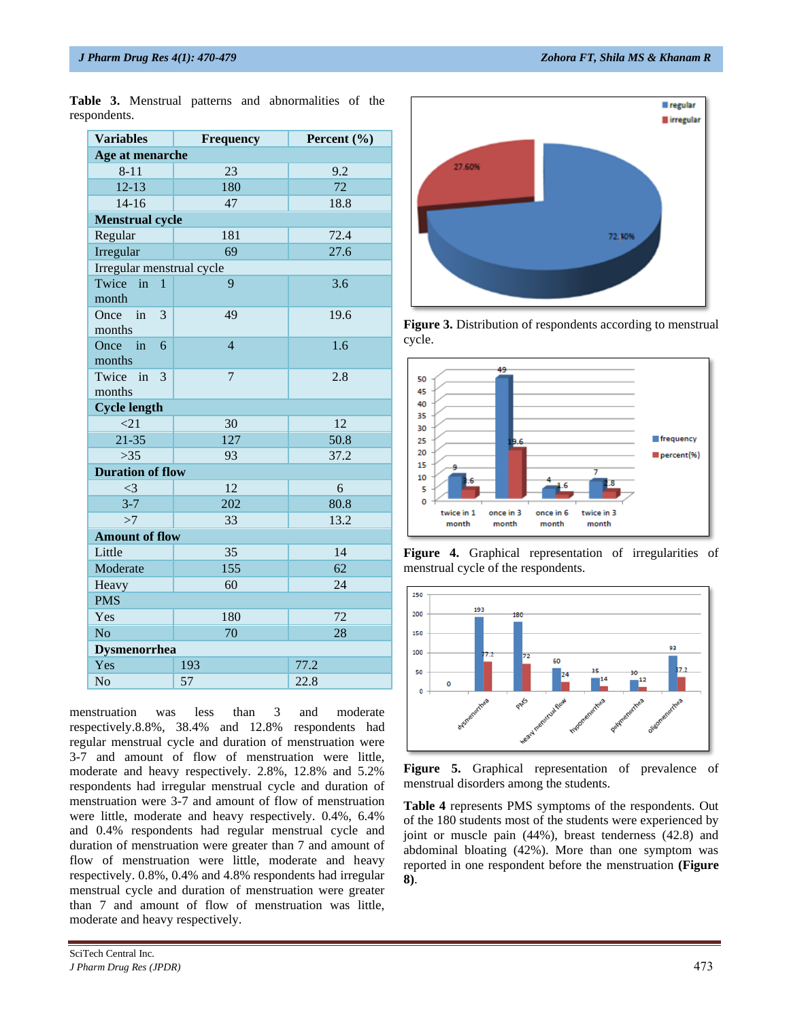| <b>Variables</b>          | Frequency      | Percent (%) |  |  |  |  |  |  |
|---------------------------|----------------|-------------|--|--|--|--|--|--|
| Age at menarche           |                |             |  |  |  |  |  |  |
| $8 - 11$                  | 23             | 9.2         |  |  |  |  |  |  |
| $12 - 13$                 | 180            | 72          |  |  |  |  |  |  |
| $14 - 16$                 | 47             | 18.8        |  |  |  |  |  |  |
| <b>Menstrual cycle</b>    |                |             |  |  |  |  |  |  |
| Regular                   | 181            | 72.4        |  |  |  |  |  |  |
| Irregular                 | 69             | 27.6        |  |  |  |  |  |  |
| Irregular menstrual cycle |                |             |  |  |  |  |  |  |
| Twice in<br>$\mathbf{1}$  | 9              | 3.6         |  |  |  |  |  |  |
| month                     |                |             |  |  |  |  |  |  |
| Once in<br>3              | 49             | 19.6        |  |  |  |  |  |  |
| months                    |                |             |  |  |  |  |  |  |
| Once in<br>6              | $\overline{4}$ | 1.6         |  |  |  |  |  |  |
| months                    |                |             |  |  |  |  |  |  |
| Twice<br>3<br>in          | 7              | 2.8         |  |  |  |  |  |  |
| months                    |                |             |  |  |  |  |  |  |
| <b>Cycle length</b>       |                |             |  |  |  |  |  |  |
| $\leq$ 21<br>$21 - 35$    | 30             | 12          |  |  |  |  |  |  |
|                           | 127            | 50.8        |  |  |  |  |  |  |
| $>35$                     | 93             | 37.2        |  |  |  |  |  |  |
| <b>Duration of flow</b>   |                |             |  |  |  |  |  |  |
| $\leq$ 3                  | 12             | 6           |  |  |  |  |  |  |
| $3 - 7$                   | 202            | 80.8        |  |  |  |  |  |  |
| >7                        | 33             | 13.2        |  |  |  |  |  |  |
| <b>Amount of flow</b>     |                |             |  |  |  |  |  |  |
| Little                    | 35             | 14          |  |  |  |  |  |  |
| Moderate                  | 155            | 62          |  |  |  |  |  |  |
| Heavy                     | 60             | 24          |  |  |  |  |  |  |
| <b>PMS</b>                |                |             |  |  |  |  |  |  |
| Yes                       | 180            | 72          |  |  |  |  |  |  |
| N <sub>o</sub>            | 70             | 28          |  |  |  |  |  |  |
| <b>Dysmenorrhea</b>       |                |             |  |  |  |  |  |  |
| Yes                       | 193            | 77.2        |  |  |  |  |  |  |
| No                        | 57             | 22.8        |  |  |  |  |  |  |

**Table 3.** Menstrual patterns and abnormalities of the respondents.

menstruation was less than 3 and moderate respectively.8.8%, 38.4% and 12.8% respondents had regular menstrual cycle and duration of menstruation were 3-7 and amount of flow of menstruation were little, moderate and heavy respectively. 2.8%, 12.8% and 5.2% respondents had irregular menstrual cycle and duration of menstruation were 3-7 and amount of flow of menstruation were little, moderate and heavy respectively. 0.4%, 6.4% and 0.4% respondents had regular menstrual cycle and duration of menstruation were greater than 7 and amount of flow of menstruation were little, moderate and heavy respectively. 0.8%, 0.4% and 4.8% respondents had irregular menstrual cycle and duration of menstruation were greater than 7 and amount of flow of menstruation was little, moderate and heavy respectively.



**Figure 3.** Distribution of respondents according to menstrual cycle.



**Figure 4.** Graphical representation of irregularities of menstrual cycle of the respondents.



**Figure 5.** Graphical representation of prevalence of menstrual disorders among the students.

**Table 4** represents PMS symptoms of the respondents. Out of the 180 students most of the students were experienced by joint or muscle pain (44%), breast tenderness (42.8) and abdominal bloating (42%). More than one symptom was reported in one respondent before the menstruation **(Figure 8)**.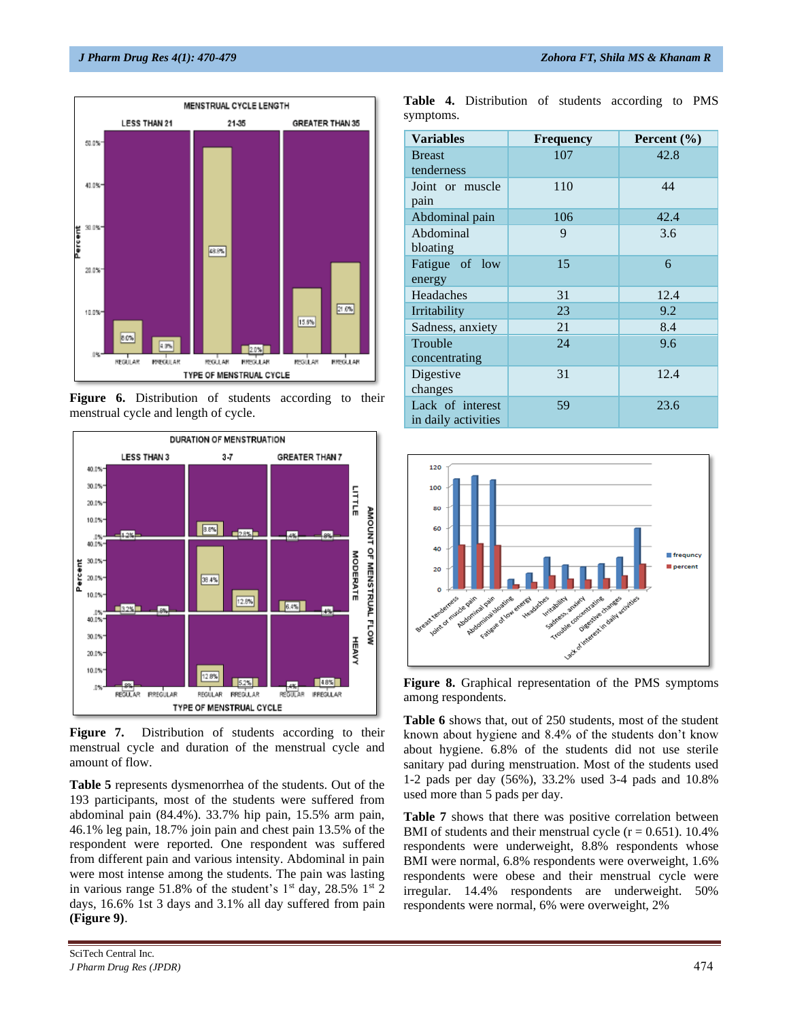

Figure **6.** Distribution of students according to their menstrual cycle and length of cycle.



Figure 7. Distribution of students according to their menstrual cycle and duration of the menstrual cycle and amount of flow.

**Table 5** represents dysmenorrhea of the students. Out of the 193 participants, most of the students were suffered from abdominal pain (84.4%). 33.7% hip pain, 15.5% arm pain, 46.1% leg pain, 18.7% join pain and chest pain 13.5% of the respondent were reported. One respondent was suffered from different pain and various intensity. Abdominal in pain were most intense among the students. The pain was lasting in various range 51.8% of the student's  $1<sup>st</sup>$  day, 28.5%  $1<sup>st</sup>$  2 days, 16.6% 1st 3 days and 3.1% all day suffered from pain **(Figure 9)**.

SciTech Central Inc*. J Pharm Drug Res (JPDR)* 474

**Table 4.** Distribution of students according to PMS symptoms.

| <b>Variables</b>                        | <b>Frequency</b> | Percent $(\% )$ |
|-----------------------------------------|------------------|-----------------|
| <b>Breast</b><br>tenderness             | 107              | 42.8            |
| Joint or muscle<br>pain                 | 110              | 44              |
| Abdominal pain                          | 106              | 42.4            |
| Abdominal<br>bloating                   | 9                | 3.6             |
| Fatigue of low<br>energy                | 15               | 6               |
| Headaches                               | 31               | 12.4            |
| Irritability                            | 23               | 9.2             |
| Sadness, anxiety                        | 21               | 8.4             |
| Trouble<br>concentrating                | 24               | 9.6             |
| Digestive<br>changes                    | 31               | 12.4            |
| Lack of interest<br>in daily activities | 59               | 23.6            |



**Figure 8.** Graphical representation of the PMS symptoms among respondents.

**Table 6** shows that, out of 250 students, most of the student known about hygiene and 8.4% of the students don't know about hygiene. 6.8% of the students did not use sterile sanitary pad during menstruation. Most of the students used 1-2 pads per day (56%), 33.2% used 3-4 pads and 10.8% used more than 5 pads per day.

**Table 7** shows that there was positive correlation between BMI of students and their menstrual cycle  $(r = 0.651)$ . 10.4% respondents were underweight, 8.8% respondents whose BMI were normal, 6.8% respondents were overweight, 1.6% respondents were obese and their menstrual cycle were irregular. 14.4% respondents are underweight. 50% respondents were normal, 6% were overweight, 2%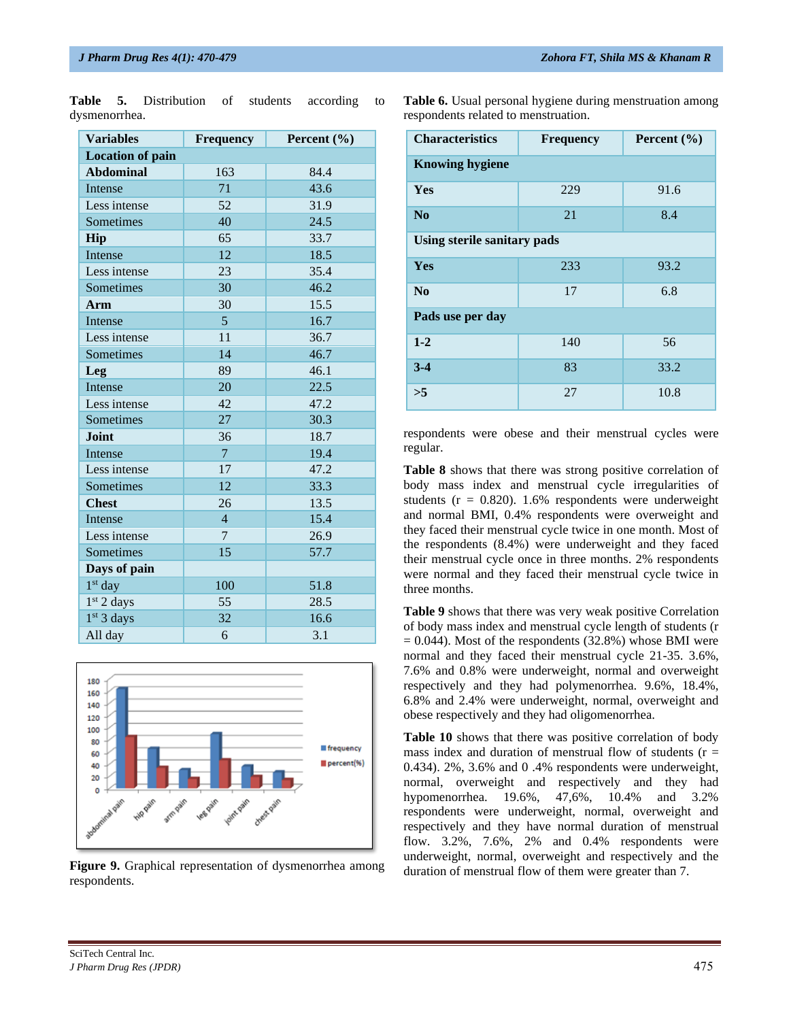| <b>Variables</b>        | <b>Frequency</b> | Percent $(\% )$ |  |  |
|-------------------------|------------------|-----------------|--|--|
| <b>Location of pain</b> |                  |                 |  |  |
| <b>Abdominal</b>        | 163              | 84.4            |  |  |
| Intense                 | 71               | 43.6            |  |  |
| Less intense            | 52               | 31.9            |  |  |
| Sometimes               | 40               | 24.5            |  |  |
| Hip                     | 65               | 33.7            |  |  |
| Intense                 | 12               | 18.5            |  |  |
| Less intense            | 23               | 35.4            |  |  |
| Sometimes               | 30               | 46.2            |  |  |
| Arm                     | 30               | 15.5            |  |  |
| Intense                 | $5\overline{)}$  | 16.7            |  |  |
| Less intense            | 11               | 36.7            |  |  |
| Sometimes               | 14               | 46.7            |  |  |
| Leg                     | 89               | 46.1            |  |  |
| <b>Intense</b>          | 20               | 22.5            |  |  |
| Less intense            | 42               | 47.2            |  |  |
| Sometimes               | 27               | 30.3            |  |  |
| <b>Joint</b>            | 36               | 18.7            |  |  |
| Intense                 | $\overline{7}$   | 19.4            |  |  |
| Less intense            | 17               | 47.2            |  |  |
| Sometimes               | 12               | 33.3            |  |  |
| <b>Chest</b>            | 26               | 13.5            |  |  |
| Intense                 | $\overline{4}$   | 15.4            |  |  |
| Less intense            | 7                | 26.9            |  |  |
| Sometimes               | 15               | 57.7            |  |  |
| Days of pain            |                  |                 |  |  |
| $1st$ day               | 100              | 51.8            |  |  |
| 1 <sup>st</sup> 2 days  | 55               | 28.5            |  |  |
| 1 <sup>st</sup> 3 days  | 32               | 16.6            |  |  |
| All day                 | 6                | 3.1             |  |  |

**Table 5.** Distribution of students according to dysmenorrhea.

**Table 6.** Usual personal hygiene during menstruation among respondents related to menstruation.

| <b>Characteristics</b>      | Percent $(\% )$<br><b>Frequency</b> |      |  |  |  |  |  |
|-----------------------------|-------------------------------------|------|--|--|--|--|--|
| <b>Knowing hygiene</b>      |                                     |      |  |  |  |  |  |
| <b>Yes</b>                  | 229                                 | 91.6 |  |  |  |  |  |
| No                          | 21                                  | 8.4  |  |  |  |  |  |
| Using sterile sanitary pads |                                     |      |  |  |  |  |  |
| <b>Yes</b>                  | 233                                 | 93.2 |  |  |  |  |  |
| No                          | 17                                  | 6.8  |  |  |  |  |  |
| Pads use per day            |                                     |      |  |  |  |  |  |
| $1 - 2$                     | 140                                 | 56   |  |  |  |  |  |
| $3-4$                       | 83                                  | 33.2 |  |  |  |  |  |
| >5                          | 27                                  | 10.8 |  |  |  |  |  |

respondents were obese and their menstrual cycles were regular.

**Table 8** shows that there was strong positive correlation of body mass index and menstrual cycle irregularities of students ( $r = 0.820$ ). 1.6% respondents were underweight and normal BMI, 0.4% respondents were overweight and they faced their menstrual cycle twice in one month. Most of the respondents (8.4%) were underweight and they faced their menstrual cycle once in three months. 2% respondents were normal and they faced their menstrual cycle twice in three months.

**Table 9** shows that there was very weak positive Correlation of body mass index and menstrual cycle length of students (r  $= 0.044$ ). Most of the respondents (32.8%) whose BMI were normal and they faced their menstrual cycle 21-35. 3.6%, 7.6% and 0.8% were underweight, normal and overweight respectively and they had polymenorrhea. 9.6%, 18.4%, 6.8% and 2.4% were underweight, normal, overweight and obese respectively and they had oligomenorrhea.

**Table 10** shows that there was positive correlation of body mass index and duration of menstrual flow of students  $(r =$ 0.434). 2%, 3.6% and 0 .4% respondents were underweight, normal, overweight and respectively and they had hypomenorrhea. 19.6%, 47,6%, 10.4% and 3.2% respondents were underweight, normal, overweight and respectively and they have normal duration of menstrual flow. 3.2%, 7.6%, 2% and 0.4% respondents were underweight, normal, overweight and respectively and the duration of menstrual flow of them were greater than 7.



**Figure 9.** Graphical representation of dysmenorrhea among respondents.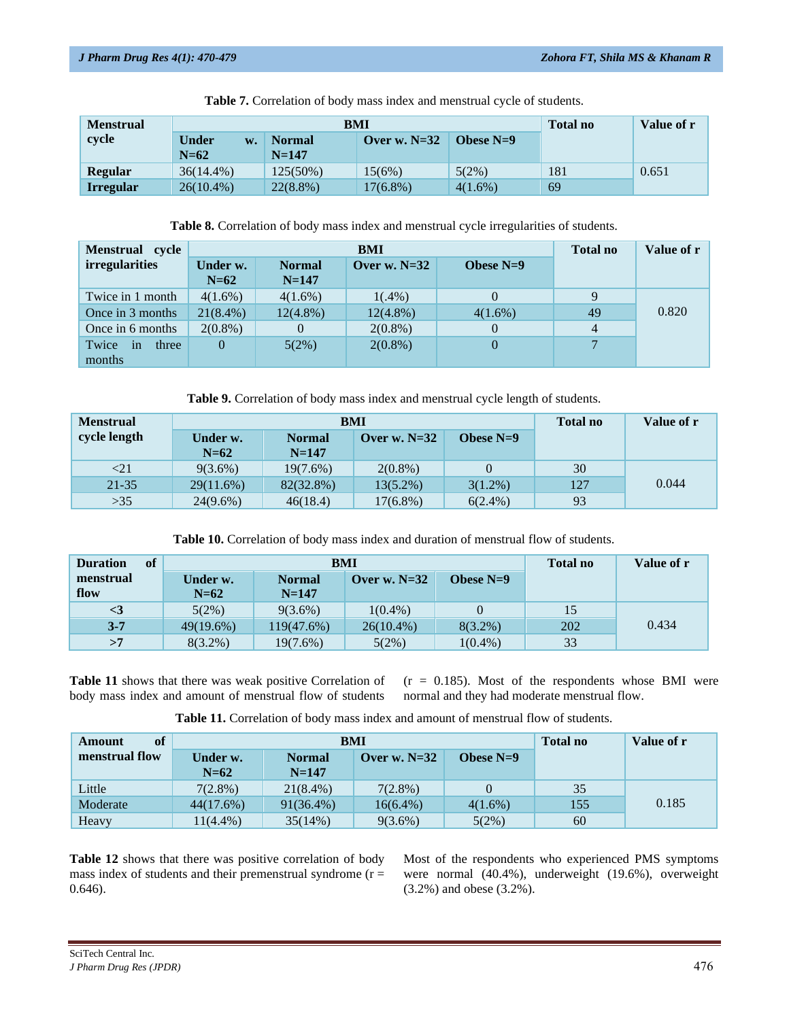| <b>Menstrual</b> |                              | BMI                        | <b>Total no</b> | Value of r  |     |       |
|------------------|------------------------------|----------------------------|-----------------|-------------|-----|-------|
| cycle            | <b>Under</b><br>W.<br>$N=62$ | <b>Normal</b><br>$N = 147$ | Over w. $N=32$  | Obese $N=9$ |     |       |
| <b>Regular</b>   | $36(14.4\%)$                 | $125(50\%)$                | 15(6%)          | $5(2\%)$    | 181 | 0.651 |
| <b>Irregular</b> | $26(10.4\%)$                 | $22(8.8\%)$                | $17(6.8\%)$     | $4(1.6\%)$  | 69  |       |

**Table 7.** Correlation of body mass index and menstrual cycle of students.

**Table 8.** Correlation of body mass index and menstrual cycle irregularities of students.

| Menstrual cycle                           |                    | BMI                        |                |             |    | Value of r |
|-------------------------------------------|--------------------|----------------------------|----------------|-------------|----|------------|
| <i>irregularities</i>                     | Under w.<br>$N=62$ | <b>Normal</b><br>$N = 147$ | Over w. $N=32$ | Obese $N=9$ |    |            |
| Twice in 1 month                          | $4(1.6\%)$         | $4(1.6\%)$                 | $1(.4\%)$      |             | Q  |            |
| Once in 3 months                          | $21(8.4\%)$        | $12(4.8\%)$                | $12(4.8\%)$    | $4(1.6\%)$  | 49 | 0.820      |
| Once in 6 months                          | $2(0.8\%)$         | $\Omega$                   | $2(0.8\%)$     |             | 4  |            |
| Twice<br>three<br><sub>in</sub><br>months | 0                  | 5(2%)                      | $2(0.8\%)$     |             |    |            |

**Table 9.** Correlation of body mass index and menstrual cycle length of students.

| <b>Menstrual</b> | <b>BMI</b>         |                            |                |             | <b>Total no</b> | Value of r |
|------------------|--------------------|----------------------------|----------------|-------------|-----------------|------------|
| cycle length     | Under w.<br>$N=62$ | <b>Normal</b><br>$N = 147$ | Over w. $N=32$ | Obese $N=9$ |                 |            |
| $<$ 21           | $9(3.6\%)$         | $19(7.6\%)$                | $2(0.8\%)$     |             | 30              |            |
| $21 - 35$        | 29(11.6%)          | 82(32.8%)                  | $13(5.2\%)$    | $3(1.2\%)$  | 127             | 0.044      |
| >35              | $24(9.6\%)$        | 46(18.4)                   | $17(6.8\%)$    | $6(2.4\%)$  | 93              |            |

**Table 10.** Correlation of body mass index and duration of menstrual flow of students.

| <sup>of</sup><br><b>Duration</b> |                    | BMI                        | <b>Total no</b> | Value of r  |     |       |
|----------------------------------|--------------------|----------------------------|-----------------|-------------|-----|-------|
| menstrual<br>flow                | Under w.<br>$N=62$ | <b>Normal</b><br>$N = 147$ | Over w. $N=32$  | Obese $N=9$ |     |       |
| $\leq$ 3                         | 5(2%)              | $9(3.6\%)$                 | $1(0.4\%)$      |             | 15  |       |
| $3 - 7$                          | $49(19.6\%)$       | 119(47.6%)                 | $26(10.4\%)$    | $8(3.2\%)$  | 202 | 0.434 |
| >7                               | $8(3.2\%)$         | 19(7.6%)                   | 5(2%)           | $1(0.4\%)$  | 33  |       |

**Table 11** shows that there was weak positive Correlation of body mass index and amount of menstrual flow of students  $(r = 0.185)$ . Most of the respondents whose BMI were normal and they had moderate menstrual flow.

**Table 11.** Correlation of body mass index and amount of menstrual flow of students.

| of<br>Amount          | <b>BMI</b>         |                            |                |             | <b>Total no</b> | Value of r |
|-----------------------|--------------------|----------------------------|----------------|-------------|-----------------|------------|
| <b>menstrual flow</b> | Under w.<br>$N=62$ | <b>Normal</b><br>$N = 147$ | Over w. $N=32$ | Obese $N=9$ |                 |            |
| Little                | $7(2.8\%)$         | $21(8.4\%)$                | $7(2.8\%)$     |             | 35              |            |
| Moderate              | 44(17.6%)          | $91(36.4\%)$               | $16(6.4\%)$    | $4(1.6\%)$  | 155             | 0.185      |
| Heavy                 | $11(4.4\%)$        | 35(14%)                    | $9(3.6\%)$     | 5(2%)       | 60              |            |

**Table 12** shows that there was positive correlation of body mass index of students and their premenstrual syndrome  $(r =$ 0.646).

Most of the respondents who experienced PMS symptoms were normal (40.4%), underweight (19.6%), overweight (3.2%) and obese (3.2%).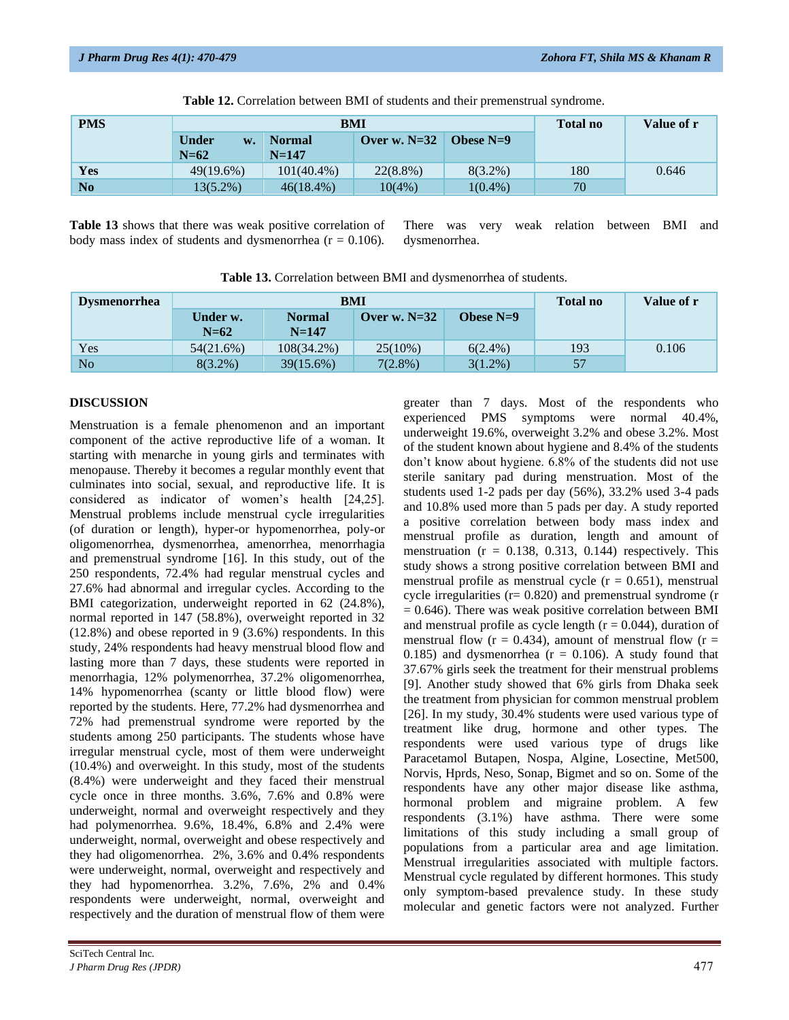| <b>PMS</b>     |                              | BMI                        | <b>Total no</b> | Value of r  |     |       |
|----------------|------------------------------|----------------------------|-----------------|-------------|-----|-------|
|                | <b>Under</b><br>w.<br>$N=62$ | <b>Normal</b><br>$N = 147$ | Over w. $N=32$  | Obese $N=9$ |     |       |
| Yes            | 49(19.6%)                    | $101(40.4\%)$              | $22(8.8\%)$     | $8(3.2\%)$  | 180 | 0.646 |
| N <sub>0</sub> | 13(5.2%)                     | $46(18.4\%)$               | 10(4%           | $1(0.4\%)$  | 70  |       |

**Table 12.** Correlation between BMI of students and their premenstrual syndrome.

**Table 13** shows that there was weak positive correlation of body mass index of students and dysmenorrhea ( $r = 0.106$ ).

There was very weak relation between BMI and dysmenorrhea.

| <b>Dysmenorrhea</b> | <b>BMI</b>         |                            |                |             | <b>Total no</b> | Value of r |
|---------------------|--------------------|----------------------------|----------------|-------------|-----------------|------------|
|                     | Under w.<br>$N=62$ | <b>Normal</b><br>$N = 147$ | Over w. $N=32$ | Obese $N=9$ |                 |            |
| Yes                 | 54(21.6%)          | $108(34.2\%)$              | $25(10\%)$     | $6(2.4\%)$  | 193             | 0.106      |
| N <sub>o</sub>      | $8(3.2\%)$         | $39(15.6\%)$               | $7(2.8\%)$     | $3(1.2\%)$  | 57              |            |

# **DISCUSSION**

Menstruation is a female phenomenon and an important component of the active reproductive life of a woman. It starting with menarche in young girls and terminates with menopause. Thereby it becomes a regular monthly event that culminates into social, sexual, and reproductive life. It is considered as indicator of women's health [24,25]. Menstrual problems include menstrual cycle irregularities (of duration or length), hyper-or hypomenorrhea, poly-or oligomenorrhea, dysmenorrhea, amenorrhea, menorrhagia and premenstrual syndrome [16]. In this study, out of the 250 respondents, 72.4% had regular menstrual cycles and 27.6% had abnormal and irregular cycles. According to the BMI categorization, underweight reported in 62 (24.8%), normal reported in 147 (58.8%), overweight reported in 32 (12.8%) and obese reported in 9 (3.6%) respondents. In this study, 24% respondents had heavy menstrual blood flow and lasting more than 7 days, these students were reported in menorrhagia, 12% polymenorrhea, 37.2% oligomenorrhea, 14% hypomenorrhea (scanty or little blood flow) were reported by the students. Here, 77.2% had dysmenorrhea and 72% had premenstrual syndrome were reported by the students among 250 participants. The students whose have irregular menstrual cycle, most of them were underweight (10.4%) and overweight. In this study, most of the students (8.4%) were underweight and they faced their menstrual cycle once in three months. 3.6%, 7.6% and 0.8% were underweight, normal and overweight respectively and they had polymenorrhea. 9.6%, 18.4%, 6.8% and 2.4% were underweight, normal, overweight and obese respectively and they had oligomenorrhea. 2%, 3.6% and 0.4% respondents were underweight, normal, overweight and respectively and they had hypomenorrhea. 3.2%, 7.6%, 2% and 0.4% respondents were underweight, normal, overweight and respectively and the duration of menstrual flow of them were

greater than 7 days. Most of the respondents who experienced PMS symptoms were normal 40.4%, underweight 19.6%, overweight 3.2% and obese 3.2%. Most of the student known about hygiene and 8.4% of the students don't know about hygiene. 6.8% of the students did not use sterile sanitary pad during menstruation. Most of the students used 1-2 pads per day (56%), 33.2% used 3-4 pads and 10.8% used more than 5 pads per day. A study reported a positive correlation between body mass index and menstrual profile as duration, length and amount of menstruation  $(r = 0.138, 0.313, 0.144)$  respectively. This study shows a strong positive correlation between BMI and menstrual profile as menstrual cycle ( $r = 0.651$ ), menstrual cycle irregularities ( $r = 0.820$ ) and premenstrual syndrome (r  $= 0.646$ ). There was weak positive correlation between BMI and menstrual profile as cycle length  $(r = 0.044)$ , duration of menstrual flow ( $r = 0.434$ ), amount of menstrual flow ( $r =$ 0.185) and dysmenorrhea  $(r = 0.106)$ . A study found that 37.67% girls seek the treatment for their menstrual problems [9]. Another study showed that 6% girls from Dhaka seek the treatment from physician for common menstrual problem [26]. In my study, 30.4% students were used various type of treatment like drug, hormone and other types. The respondents were used various type of drugs like Paracetamol Butapen, Nospa, Algine, Losectine, Met500, Norvis, Hprds, Neso, Sonap, Bigmet and so on. Some of the respondents have any other major disease like asthma, hormonal problem and migraine problem. A few respondents (3.1%) have asthma. There were some limitations of this study including a small group of populations from a particular area and age limitation. Menstrual irregularities associated with multiple factors. Menstrual cycle regulated by different hormones. This study only symptom-based prevalence study. In these study molecular and genetic factors were not analyzed. Further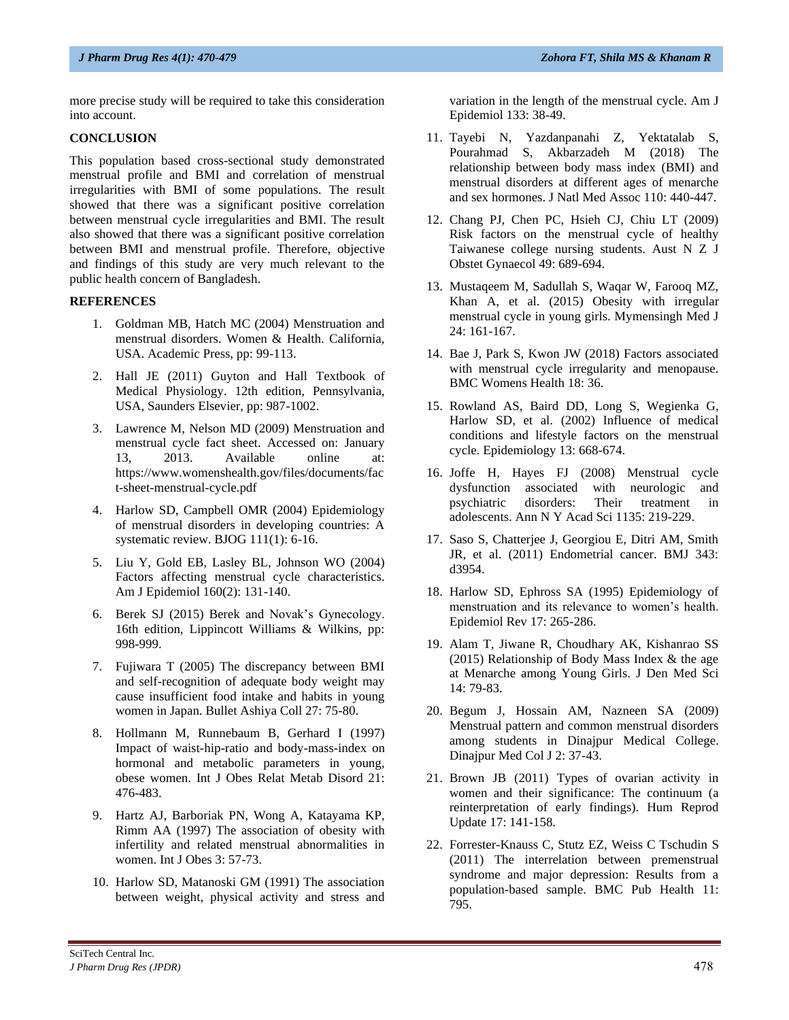more precise study will be required to take this consideration into account.

# **CONCLUSION**

This population based cross-sectional study demonstrated menstrual profile and BMI and correlation of menstrual irregularities with BMI of some populations. The result showed that there was a significant positive correlation between menstrual cycle irregularities and BMI. The result also showed that there was a significant positive correlation between BMI and menstrual profile. Therefore, objective and findings of this study are very much relevant to the public health concern of Bangladesh.

# **REFERENCES**

- 1. Goldman MB, Hatch MC (2004) Menstruation and menstrual disorders. Women & Health. California, USA. Academic Press, pp: 99-113.
- 2. Hall JE (2011) Guyton and Hall Textbook of Medical Physiology. 12th edition, Pennsylvania, USA, Saunders Elsevier, pp: 987-1002.
- 3. Lawrence M, Nelson MD (2009) Menstruation and menstrual cycle fact sheet. Accessed on: January 13, 2013. Available online at: [https://www.womenshealth.gov/files/documents/fac](https://www.womenshealth.gov/files/documents/fact-sheet-menstrual-cycle.pdf) [t-sheet-menstrual-cycle.pdf](https://www.womenshealth.gov/files/documents/fact-sheet-menstrual-cycle.pdf)
- 4. Harlow SD, Campbell OMR (2004) Epidemiology of menstrual disorders in developing countries: A systematic review. BJOG 111(1): 6-16.
- 5. Liu Y, Gold EB, Lasley BL, Johnson WO (2004) Factors affecting menstrual cycle characteristics. Am J Epidemiol 160(2): 131-140.
- 6. Berek SJ (2015) Berek and Novak's Gynecology. 16th edition, Lippincott Williams & Wilkins, pp: 998-999.
- 7. Fujiwara T (2005) The discrepancy between BMI and self-recognition of adequate body weight may cause insufficient food intake and habits in young women in Japan. Bullet Ashiya Coll 27: 75-80.
- 8. Hollmann M, Runnebaum B, Gerhard I (1997) Impact of waist-hip-ratio and body-mass-index on hormonal and metabolic parameters in young, obese women. Int J Obes Relat Metab Disord 21: 476-483.
- 9. Hartz AJ, Barboriak PN, Wong A, Katayama KP, Rimm AA (1997) The association of obesity with infertility and related menstrual abnormalities in women. Int J Obes 3: 57-73.
- 10. Harlow SD, Matanoski GM (1991) The association between weight, physical activity and stress and

variation in the length of the menstrual cycle. Am J Epidemiol 133: 38-49.

- 11. Tayebi N, Yazdanpanahi Z, Yektatalab S, Pourahmad S, Akbarzadeh M (2018) The relationship between body mass index (BMI) and menstrual disorders at different ages of menarche and sex hormones. J Natl Med Assoc 110: 440-447.
- 12. Chang PJ, Chen PC, Hsieh CJ, Chiu LT (2009) Risk factors on the menstrual cycle of healthy Taiwanese college nursing students. Aust N Z J Obstet Gynaecol 49: 689-694.
- 13. Mustaqeem M, Sadullah S, Waqar W, Farooq MZ, Khan A, et al. (2015) Obesity with irregular menstrual cycle in young girls. Mymensingh Med J 24: 161-167.
- 14. Bae J, Park S, Kwon JW (2018) Factors associated with menstrual cycle irregularity and menopause. BMC Womens Health 18: 36.
- 15. Rowland AS, Baird DD, Long S, Wegienka G, Harlow SD, et al. (2002) Influence of medical conditions and lifestyle factors on the menstrual cycle. Epidemiology 13: 668-674.
- 16. Joffe H, Hayes FJ (2008) Menstrual cycle dysfunction associated with neurologic and psychiatric disorders: Their treatment in adolescents. Ann N Y Acad Sci 1135: 219-229.
- 17. Saso S, Chatterjee J, Georgiou E, Ditri AM, Smith JR, et al. (2011) Endometrial cancer. BMJ 343: d3954.
- 18. Harlow SD, Ephross SA (1995) Epidemiology of menstruation and its relevance to women's health. Epidemiol Rev 17: 265-286.
- 19. Alam T, Jiwane R, Choudhary AK, Kishanrao SS (2015) Relationship of Body Mass Index & the age at Menarche among Young Girls. J Den Med Sci 14: 79-83.
- 20. Begum J, Hossain AM, Nazneen SA (2009) Menstrual pattern and common menstrual disorders among students in Dinajpur Medical College. Dinajpur Med Col J 2: 37-43.
- 21. Brown JB (2011) Types of ovarian activity in women and their significance: The continuum (a reinterpretation of early findings). Hum Reprod Update 17: 141-158.
- 22. Forrester-Knauss C, Stutz EZ, Weiss C Tschudin S (2011) The interrelation between premenstrual syndrome and major depression: Results from a population-based sample. BMC Pub Health 11: 795.